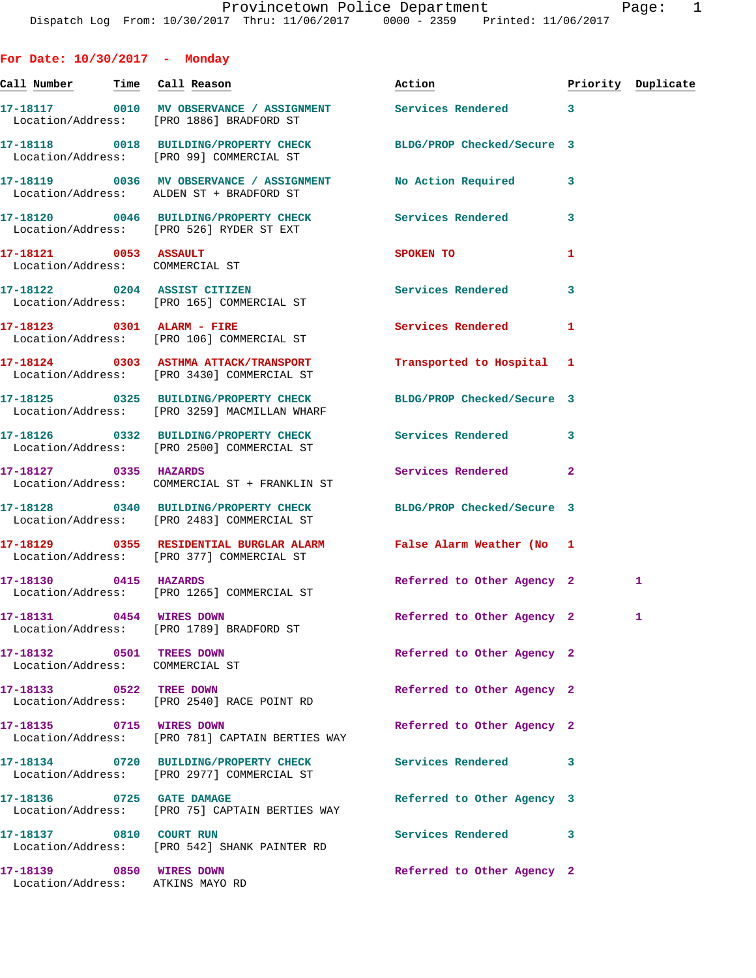**For Date: 10/30/2017 - Monday Call Number Time Call Reason Action Priority Duplicate 17-18117 0010 MV OBSERVANCE / ASSIGNMENT Services Rendered 3**  Location/Address: [PRO 1886] BRADFORD ST **17-18118 0018 BUILDING/PROPERTY CHECK BLDG/PROP Checked/Secure 3**  Location/Address: [PRO 99] COMMERCIAL ST **17-18119 0036 MV OBSERVANCE / ASSIGNMENT No Action Required 3**  Location/Address: ALDEN ST + BRADFORD ST **17-18120 0046 BUILDING/PROPERTY CHECK Services Rendered 3**  Location/Address: [PRO 526] RYDER ST EXT **17-18121 0053 ASSAULT SPOKEN TO 1**  Location/Address: COMMERCIAL ST **17-18122 0204 ASSIST CITIZEN Services Rendered 3**  Location/Address: [PRO 165] COMMERCIAL ST **17-18123 0301 ALARM - FIRE Services Rendered 1**  Location/Address: [PRO 106] COMMERCIAL ST **17-18124 0303 ASTHMA ATTACK/TRANSPORT Transported to Hospital 1**  Location/Address: [PRO 3430] COMMERCIAL ST **17-18125 0325 BUILDING/PROPERTY CHECK BLDG/PROP Checked/Secure 3**  Location/Address: [PRO 3259] MACMILLAN WHARF **17-18126 0332 BUILDING/PROPERTY CHECK Services Rendered 3**  Location/Address: [PRO 2500] COMMERCIAL ST **17-18127 0335 HAZARDS Services Rendered 2**  Location/Address: COMMERCIAL ST + FRANKLIN ST **17-18128 0340 BUILDING/PROPERTY CHECK BLDG/PROP Checked/Secure 3**  Location/Address: [PRO 2483] COMMERCIAL ST **17-18129 0355 RESIDENTIAL BURGLAR ALARM False Alarm Weather (No 1**  Location/Address: [PRO 377] COMMERCIAL ST **17-18130 0415 HAZARDS Referred to Other Agency 2 1**  Location/Address: [PRO 1265] COMMERCIAL ST **17-18131 0454 WIRES DOWN Referred to Other Agency 2 1**  Location/Address: [PRO 1789] BRADFORD ST **17-18132 0501 TREES DOWN Referred to Other Agency 2**  Location/Address: COMMERCIAL ST **17-18133 0522 TREE DOWN Referred to Other Agency 2**  Location/Address: [PRO 2540] RACE POINT RD **17-18135 0715 WIRES DOWN Referred to Other Agency 2**  Location/Address: [PRO 781] CAPTAIN BERTIES WAY **17-18134 0720 BUILDING/PROPERTY CHECK Services Rendered 3**  Location/Address: [PRO 2977] COMMERCIAL ST **17-18136 0725 GATE DAMAGE Referred to Other Agency 3**  Location/Address: [PRO 75] CAPTAIN BERTIES WAY **17-18137 0810 COURT RUN Services Rendered 3**  Location/Address: [PRO 542] SHANK PAINTER RD **17-18139 0850 WIRES DOWN Referred to Other Agency 2**  Location/Address: ATKINS MAYO RD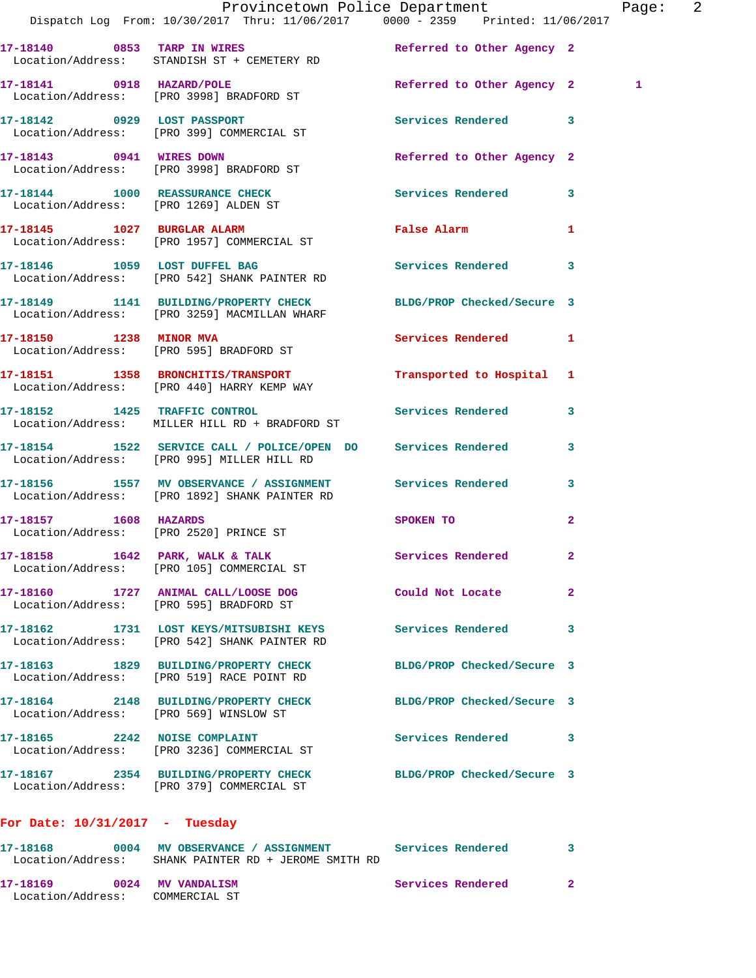|                                        | Provincetown Police Department<br>Dispatch Log From: 10/30/2017 Thru: 11/06/2017 0000 - 2359 Printed: 11/06/2017 |                            | Page: 2      |
|----------------------------------------|------------------------------------------------------------------------------------------------------------------|----------------------------|--------------|
|                                        | 17-18140 0853 TARP IN WIRES Referred to Other Agency 2<br>Location/Address: STANDISH ST + CEMETERY RD            |                            |              |
|                                        | 17-18141 0918 HAZARD/POLE<br>Location/Address: [PRO 3998] BRADFORD ST                                            | Referred to Other Agency 2 | 1            |
|                                        | 17-18142 0929 LOST PASSPORT<br>Location/Address: [PRO 399] COMMERCIAL ST                                         | Services Rendered 3        |              |
|                                        | 17-18143 0941 WIRES DOWN<br>Location/Address: [PRO 3998] BRADFORD ST                                             | Referred to Other Agency 2 |              |
|                                        | 17-18144 1000 REASSURANCE CHECK Services Rendered 3<br>Location/Address: [PRO 1269] ALDEN ST                     |                            |              |
|                                        | 17-18145 1027 BURGLAR ALARM<br>Location/Address: [PRO 1957] COMMERCIAL ST                                        | False Alarm 1              |              |
|                                        | 17-18146 1059 LOST DUFFEL BAG<br>Location/Address: [PRO 542] SHANK PAINTER RD                                    | Services Rendered 3        |              |
|                                        | 17-18149 1141 BUILDING/PROPERTY CHECK BLDG/PROP Checked/Secure 3<br>Location/Address: [PRO 3259] MACMILLAN WHARF |                            |              |
|                                        | 17-18150 1238 MINOR MVA<br>Location/Address: [PRO 595] BRADFORD ST                                               | Services Rendered 1        |              |
|                                        | 17-18151 1358 BRONCHITIS/TRANSPORT<br>Location/Address: [PRO 440] HARRY KEMP WAY                                 | Transported to Hospital 1  |              |
|                                        | 17-18152 1425 TRAFFIC CONTROL<br>Location/Address: MILLER HILL RD + BRADFORD ST                                  | Services Rendered 3        |              |
|                                        | 17-18154 1522 SERVICE CALL / POLICE/OPEN DO Services Rendered<br>Location/Address: [PRO 995] MILLER HILL RD      |                            | $\mathbf{3}$ |
|                                        | 17-18156 1557 MV OBSERVANCE / ASSIGNMENT Services Rendered 3<br>Location/Address: [PRO 1892] SHANK PAINTER RD    |                            |              |
| 17-18157 1608 HAZARDS                  | Location/Address: [PRO 2520] PRINCE ST                                                                           | SPOKEN TO                  | $\mathbf{2}$ |
|                                        | 17-18158 1642 PARK, WALK & TALK<br>Location/Address: [PRO 105] COMMERCIAL ST                                     | Services Rendered          | $\mathbf{2}$ |
|                                        | 17-18160 1727 ANIMAL CALL/LOOSE DOG<br>Location/Address: [PRO 595] BRADFORD ST                                   | <b>Could Not Locate</b>    | $\mathbf{2}$ |
|                                        | 17-18162 1731 LOST KEYS/MITSUBISHI KEYS<br>Location/Address: [PRO 542] SHANK PAINTER RD                          | Services Rendered          | 3            |
|                                        | 17-18163 1829 BUILDING/PROPERTY CHECK<br>Location/Address: [PRO 519] RACE POINT RD                               | BLDG/PROP Checked/Secure 3 |              |
| Location/Address: [PRO 569] WINSLOW ST | 17-18164 2148 BUILDING/PROPERTY CHECK                                                                            | BLDG/PROP Checked/Secure 3 |              |
| 17-18165 2242 NOISE COMPLAINT          | Location/Address: [PRO 3236] COMMERCIAL ST                                                                       | Services Rendered 3        |              |
|                                        | 17-18167 2354 BUILDING/PROPERTY CHECK<br>Location/Address: [PRO 379] COMMERCIAL ST                               | BLDG/PROP Checked/Secure 3 |              |
| For Date: $10/31/2017$ - Tuesday       |                                                                                                                  |                            |              |

**17-18168 0004 MV OBSERVANCE / ASSIGNMENT Services Rendered 3**  Location/Address: SHANK PAINTER RD + JEROME SMITH RD **17-18169 0024 MV VANDALISM Services Rendered 2**  Location/Address: COMMERCIAL ST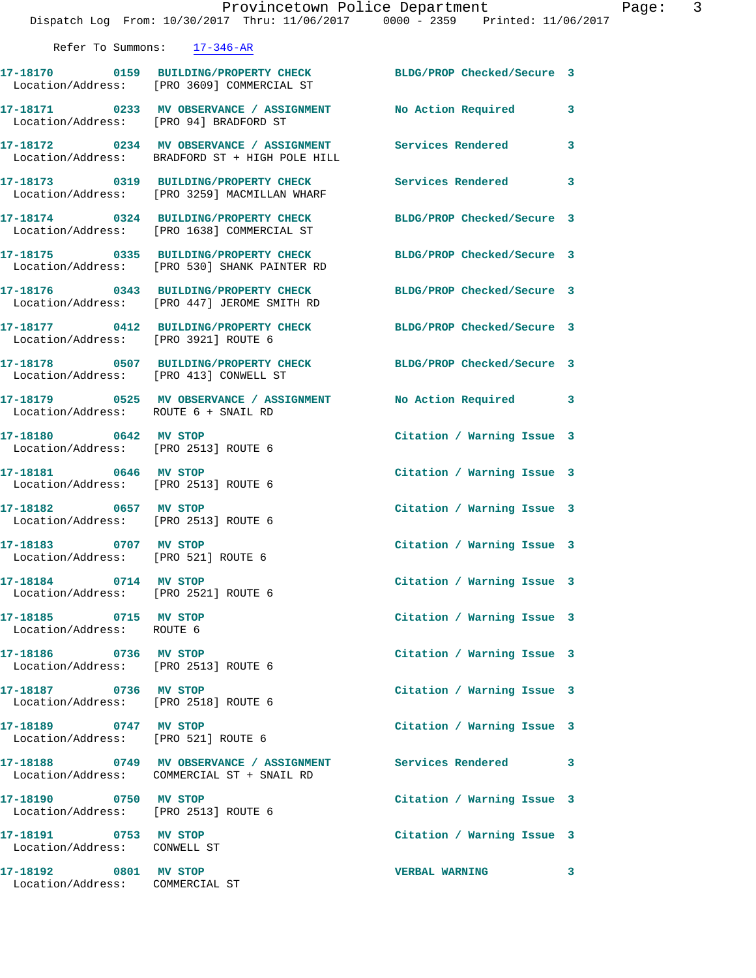|                                                               | Provincetown Police Department<br>Dispatch Log From: 10/30/2017 Thru: 11/06/2017 0000 - 2359 Printed: 11/06/2017 |                            |   |
|---------------------------------------------------------------|------------------------------------------------------------------------------------------------------------------|----------------------------|---|
|                                                               | Refer To Summons: 17-346-AR                                                                                      |                            |   |
|                                                               | 17-18170 0159 BUILDING/PROPERTY CHECK BLDG/PROP Checked/Secure 3<br>Location/Address: [PRO 3609] COMMERCIAL ST   |                            |   |
| Location/Address: [PRO 94] BRADFORD ST                        | 17-18171 0233 MV OBSERVANCE / ASSIGNMENT No Action Required                                                      |                            | 3 |
|                                                               | 17-18172 0234 MV OBSERVANCE / ASSIGNMENT Services Rendered<br>Location/Address: BRADFORD ST + HIGH POLE HILL     |                            | 3 |
|                                                               | 17-18173 0319 BUILDING/PROPERTY CHECK<br>Location/Address: [PRO 3259] MACMILLAN WHARF                            | <b>Services Rendered</b>   | 3 |
|                                                               | 17-18174 0324 BUILDING/PROPERTY CHECK<br>Location/Address: [PRO 1638] COMMERCIAL ST                              | BLDG/PROP Checked/Secure 3 |   |
|                                                               | 17-18175 0335 BUILDING/PROPERTY CHECK<br>Location/Address: [PRO 530] SHANK PAINTER RD                            | BLDG/PROP Checked/Secure 3 |   |
|                                                               | 17-18176 0343 BUILDING/PROPERTY CHECK<br>Location/Address: [PRO 447] JEROME SMITH RD                             | BLDG/PROP Checked/Secure 3 |   |
|                                                               | 17-18177   0412   BUILDING/PROPERTY CHECK<br>Location/Address: [PRO 3921] ROUTE 6                                | BLDG/PROP Checked/Secure 3 |   |
| Location/Address: [PRO 413] CONWELL ST                        | 17-18178 0507 BUILDING/PROPERTY CHECK BLDG/PROP Checked/Secure 3                                                 |                            |   |
| Location/Address: ROUTE 6 + SNAIL RD                          | 17-18179 0525 MV OBSERVANCE / ASSIGNMENT No Action Required 3                                                    |                            |   |
| 17-18180 0642 MV STOP<br>Location/Address: [PRO 2513] ROUTE 6 |                                                                                                                  | Citation / Warning Issue 3 |   |
| 17-18181 0646 MV STOP<br>Location/Address: [PRO 2513] ROUTE 6 |                                                                                                                  | Citation / Warning Issue 3 |   |
| 17-18182 0657 MV STOP<br>Location/Address: [PRO 2513] ROUTE 6 |                                                                                                                  | Citation / Warning Issue 3 |   |
| 17-18183 0707 MV STOP<br>Location/Address: [PRO 521] ROUTE 6  |                                                                                                                  | Citation / Warning Issue 3 |   |
| 17-18184 0714 MV STOP<br>Location/Address: [PRO 2521] ROUTE 6 |                                                                                                                  | Citation / Warning Issue 3 |   |
| 17-18185 0715 MV STOP<br>Location/Address: ROUTE 6            |                                                                                                                  | Citation / Warning Issue 3 |   |
| 17-18186 0736 MV STOP<br>Location/Address: [PRO 2513] ROUTE 6 |                                                                                                                  | Citation / Warning Issue 3 |   |
| 17-18187 0736 MV STOP<br>Location/Address: [PRO 2518] ROUTE 6 |                                                                                                                  | Citation / Warning Issue 3 |   |
| 17-18189 0747 MV STOP<br>Location/Address: [PRO 521] ROUTE 6  |                                                                                                                  | Citation / Warning Issue 3 |   |
|                                                               | 17-18188 0749 MV OBSERVANCE / ASSIGNMENT<br>Location/Address: COMMERCIAL ST + SNAIL RD                           | Services Rendered 3        |   |
| 17-18190 0750 MV STOP<br>Location/Address: [PRO 2513] ROUTE 6 |                                                                                                                  | Citation / Warning Issue 3 |   |
| 17-18191 0753 MV STOP<br>Location/Address: CONWELL ST         |                                                                                                                  | Citation / Warning Issue 3 |   |
| 17-18192 0801 MV STOP<br>Location/Address: COMMERCIAL ST      |                                                                                                                  | <b>VERBAL WARNING</b>      | 3 |

Page: 3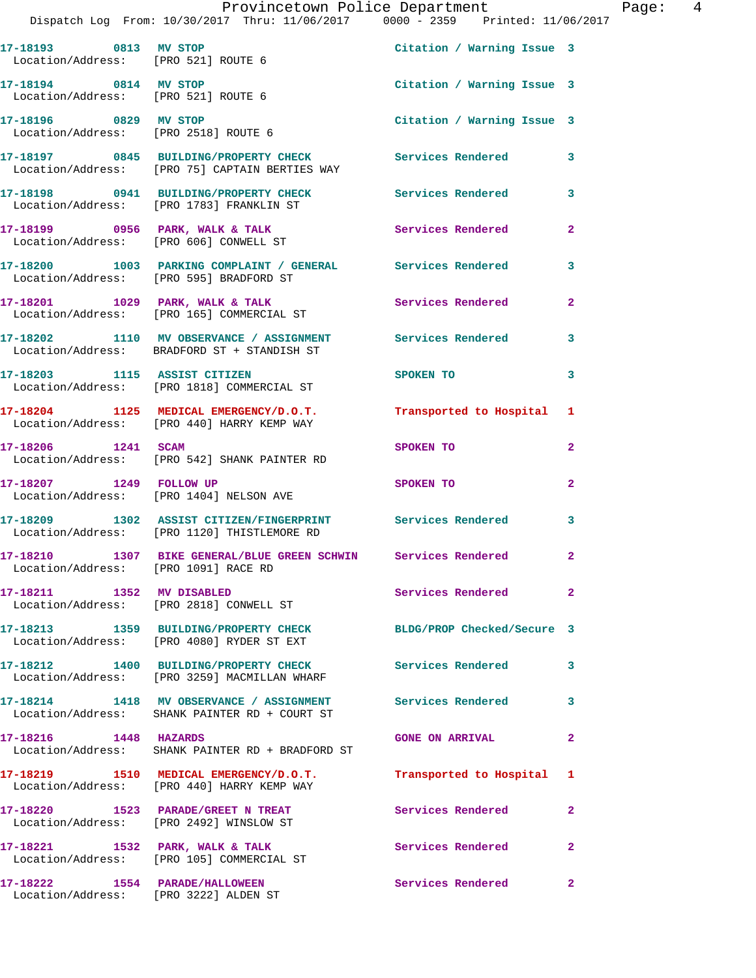|                                                                         | Provincetown Police Department<br>Dispatch Log From: 10/30/2017 Thru: 11/06/2017 0000 - 2359 Printed: 11/06/2017 |                            | Page:  4       |
|-------------------------------------------------------------------------|------------------------------------------------------------------------------------------------------------------|----------------------------|----------------|
| Location/Address: [PRO 521] ROUTE 6                                     | 17-18193 0813 MV STOP Citation / Warning Issue 3                                                                 |                            |                |
| 17-18194 0814 MV STOP<br>Location/Address: [PRO 521] ROUTE 6            |                                                                                                                  | Citation / Warning Issue 3 |                |
|                                                                         |                                                                                                                  | Citation / Warning Issue 3 |                |
|                                                                         | 17-18197 0845 BUILDING/PROPERTY CHECK Services Rendered 3<br>Location/Address: [PRO 75] CAPTAIN BERTIES WAY      |                            |                |
|                                                                         |                                                                                                                  |                            |                |
|                                                                         | Location/Address: [PRO 606] CONWELL ST                                                                           |                            | $\overline{a}$ |
|                                                                         | 17-18200 1003 PARKING COMPLAINT / GENERAL Services Rendered 3<br>Location/Address: [PRO 595] BRADFORD ST         |                            |                |
|                                                                         | 17-18201 1029 PARK, WALK & TALK 1988 Services Rendered<br>Location/Address: [PRO 165] COMMERCIAL ST              |                            | $\overline{2}$ |
|                                                                         | 17-18202 1110 MV OBSERVANCE / ASSIGNMENT Services Rendered 3<br>Location/Address: BRADFORD ST + STANDISH ST      |                            |                |
|                                                                         | 17-18203 1115 ASSIST CITIZEN<br>Location/Address: [PRO 1818] COMMERCIAL ST                                       | SPOKEN TO                  | 3              |
|                                                                         | 17-18204 1125 MEDICAL EMERGENCY/D.O.T.<br>Location/Address: [PRO 440] HARRY KEMP WAY                             | Transported to Hospital 1  |                |
|                                                                         | 17-18206 1241 SCAM<br>Location/Address: [PRO 542] SHANK PAINTER RD                                               | SPOKEN TO                  | $\mathbf{2}$   |
| 17-18207 1249 FOLLOW UP                                                 | Location/Address: [PRO 1404] NELSON AVE                                                                          | SPOKEN TO                  | $\overline{a}$ |
|                                                                         | 17-18209 1302 ASSIST CITIZEN/FINGERPRINT Services Rendered 3<br>Location/Address: [PRO 1120] THISTLEMORE RD      |                            |                |
| Location/Address: [PRO 1091] RACE RD                                    | 17-18210 1307 BIKE GENERAL/BLUE GREEN SCHWIN Services Rendered                                                   |                            |                |
|                                                                         | 17-18211 1352 MV DISABLED<br>Location/Address: [PRO 2818] CONWELL ST                                             | <b>Services Rendered</b>   | $\overline{2}$ |
|                                                                         | 17-18213 1359 BUILDING/PROPERTY CHECK<br>Location/Address: [PRO 4080] RYDER ST EXT                               | BLDG/PROP Checked/Secure 3 |                |
|                                                                         | 17-18212 1400 BUILDING/PROPERTY CHECK Services Rendered<br>Location/Address: [PRO 3259] MACMILLAN WHARF          |                            | 3              |
|                                                                         | 17-18214 1418 MV OBSERVANCE / ASSIGNMENT Services Rendered<br>Location/Address: SHANK PAINTER RD + COURT ST      |                            | 3              |
| 17-18216 1448 HAZARDS                                                   | Location/Address: SHANK PAINTER RD + BRADFORD ST                                                                 | <b>GONE ON ARRIVAL</b>     | 2              |
|                                                                         | 17-18219 1510 MEDICAL EMERGENCY/D.O.T.<br>Location/Address: [PRO 440] HARRY KEMP WAY                             | Transported to Hospital 1  |                |
|                                                                         | 17-18220 1523 PARADE/GREET N TREAT<br>Location/Address: [PRO 2492] WINSLOW ST                                    | Services Rendered          | $\overline{2}$ |
|                                                                         | 17-18221 1532 PARK, WALK & TALK<br>Location/Address: [PRO 105] COMMERCIAL ST                                     | Services Rendered          | $\overline{2}$ |
| 17-18222 1554 PARADE/HALLOWEEN<br>Location/Address: [PRO 3222] ALDEN ST |                                                                                                                  | Services Rendered          | $\mathbf{2}$   |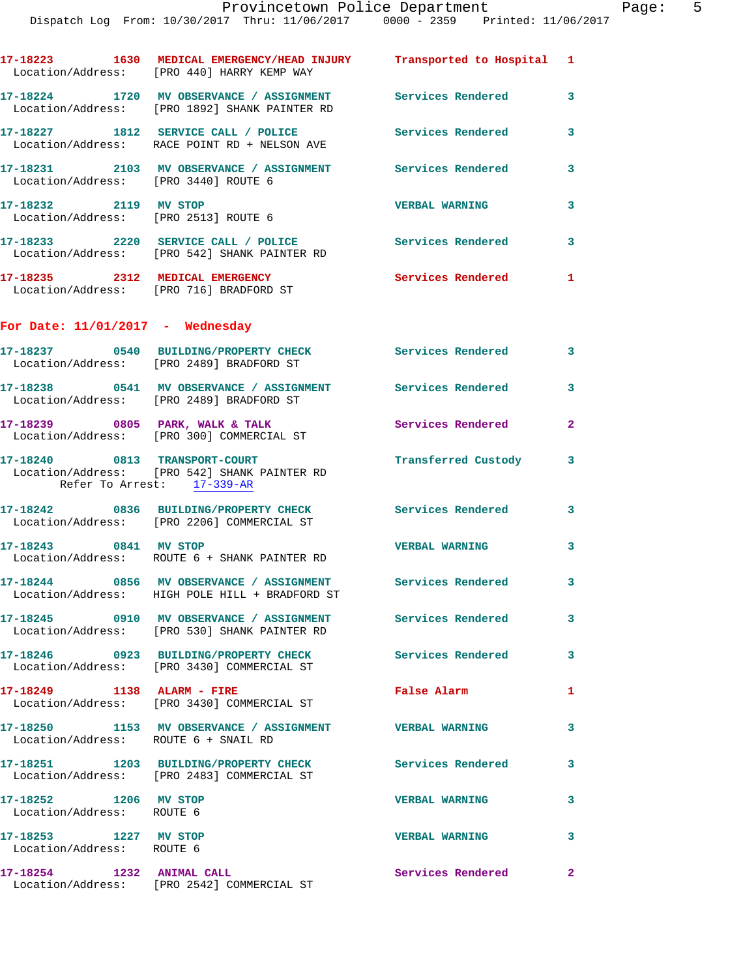| tment |                     | Page |
|-------|---------------------|------|
| 59    | Printed: 11/06/2017 |      |

|                                                               | Dispatch Log From: 10/30/2017 Thru: 11/06/2017 0000 - 2359 Printed: 11/06/2017                                      |                          |                         |
|---------------------------------------------------------------|---------------------------------------------------------------------------------------------------------------------|--------------------------|-------------------------|
|                                                               | 17-18223 1630 MEDICAL EMERGENCY/HEAD INJURY Transported to Hospital 1<br>Location/Address: [PRO 440] HARRY KEMP WAY |                          |                         |
|                                                               | 17-18224 1720 MV OBSERVANCE / ASSIGNMENT Services Rendered<br>Location/Address: [PRO 1892] SHANK PAINTER RD         |                          | $\overline{\mathbf{3}}$ |
|                                                               | 17-18227 1812 SERVICE CALL / POLICE 3 Services Rendered<br>Location/Address: RACE POINT RD + NELSON AVE             |                          | 3                       |
| Location/Address: [PRO 3440] ROUTE 6                          | 17-18231 2103 MV OBSERVANCE / ASSIGNMENT Services Rendered                                                          |                          | 3                       |
| 17-18232 2119 MV STOP<br>Location/Address: [PRO 2513] ROUTE 6 |                                                                                                                     | <b>VERBAL WARNING</b>    | 3                       |
|                                                               | 17-18233 2220 SERVICE CALL / POLICE 3 Services Rendered<br>Location/Address: [PRO 542] SHANK PAINTER RD             |                          | $\overline{\mathbf{3}}$ |
|                                                               | 17-18235 2312 MEDICAL EMERGENCY<br>Location/Address: [PRO 716] BRADFORD ST                                          | <b>Services Rendered</b> | $\mathbf{1}$            |
| For Date: $11/01/2017$ - Wednesday                            |                                                                                                                     |                          |                         |
|                                                               | 17-18237 0540 BUILDING/PROPERTY CHECK Services Rendered<br>Location/Address: [PRO 2489] BRADFORD ST                 |                          | 3                       |
|                                                               | 17-18238 6541 MV OBSERVANCE / ASSIGNMENT Services Rendered<br>Location/Address: [PRO 2489] BRADFORD ST              |                          | 3                       |
|                                                               | 17-18239 0805 PARK, WALK & TALK<br>Location/Address: [PRO 300] COMMERCIAL ST                                        | <b>Services Rendered</b> | $\mathbf{2}$            |
|                                                               | 17-18240 0813 TRANSPORT-COURT<br>Location/Address: [PRO 542] SHANK PAINTER RD<br>Refer To Arrest: 17-339-AR         | Transferred Custody      | 3                       |

**17-18242 0836 BUILDING/PROPERTY CHECK Services Rendered 3**  Location/Address: [PRO 2206] COMMERCIAL ST **17-18243 0841 MV STOP VERBAL WARNING 3**  Location/Address: ROUTE 6 + SHANK PAINTER RD **17-18244 0856 MV OBSERVANCE / ASSIGNMENT Services Rendered 3**  Location/Address: HIGH POLE HILL + BRADFORD ST **17-18245 0910 MV OBSERVANCE / ASSIGNMENT Services Rendered 3**  Location/Address: [PRO 530] SHANK PAINTER RD **17-18246 0923 BUILDING/PROPERTY CHECK Services Rendered 3**  Location/Address: [PRO 3430] COMMERCIAL ST **17-18249 1138 ALARM - FIRE False Alarm 1**  Location/Address: [PRO 3430] COMMERCIAL ST

**17-18250 1153 MV OBSERVANCE / ASSIGNMENT VERBAL WARNING 3**  Location/Address: ROUTE 6 + SNAIL RD **17-18251 1203 BUILDING/PROPERTY CHECK Services Rendered 3**  Location/Address: [PRO 2483] COMMERCIAL ST **17-18252 1206 MV STOP VERBAL WARNING 3**  Location/Address: ROUTE 6 **17-18253 1227 MV STOP VERBAL WARNING 3**  Location/Address: ROUTE 6 **17-18254 1232 ANIMAL CALL Services Rendered 2**  Location/Address: [PRO 2542] COMMERCIAL ST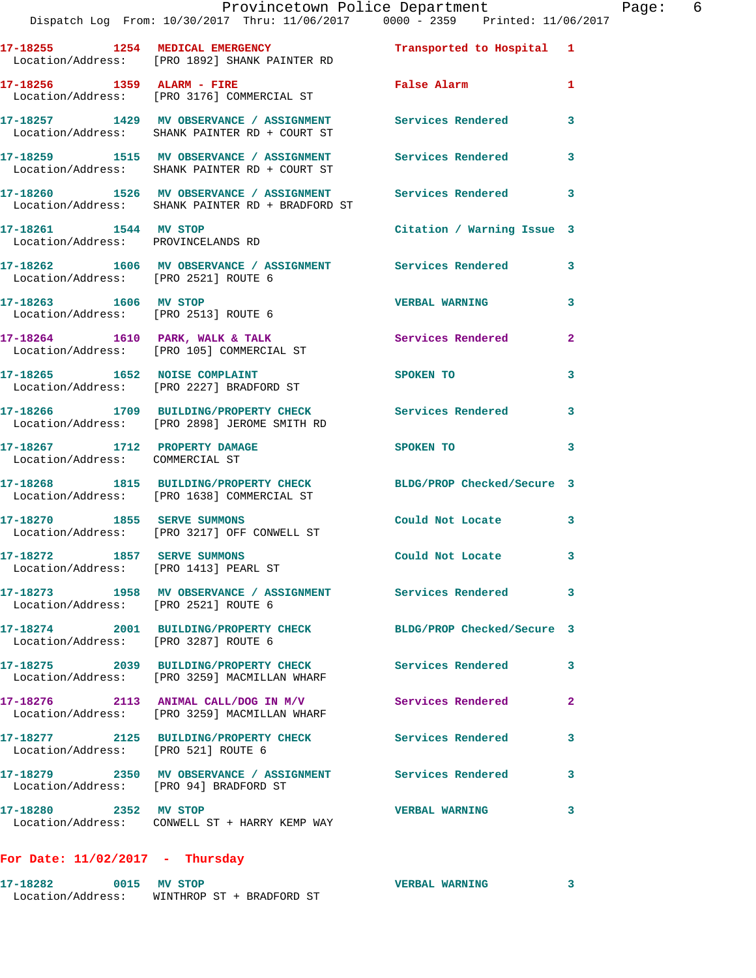|                                                                      | Dispatch Log From: 10/30/2017 Thru: 11/06/2017 0000 - 2359 Printed: 11/06/2017                                         | Provincetown Police Department Page: 6                                                                                                                                                                                         |                |
|----------------------------------------------------------------------|------------------------------------------------------------------------------------------------------------------------|--------------------------------------------------------------------------------------------------------------------------------------------------------------------------------------------------------------------------------|----------------|
|                                                                      |                                                                                                                        |                                                                                                                                                                                                                                |                |
|                                                                      | 17-18255 1254 MEDICAL EMERGENCY <b>1254</b> Transported to Hospital 1<br>Location/Address: [PRO 1892] SHANK PAINTER RD |                                                                                                                                                                                                                                |                |
|                                                                      | 17-18256 1359 ALARM - FIRE<br>Location/Address: [PRO 3176] COMMERCIAL ST                                               | False Alarm 1                                                                                                                                                                                                                  |                |
|                                                                      | 17-18257   1429 MV OBSERVANCE / ASSIGNMENT   Services Rendered<br>Location/Address:   SHANK PAINTER RD + COURT ST      |                                                                                                                                                                                                                                | 3              |
|                                                                      | 17-18259 1515 MV OBSERVANCE / ASSIGNMENT Services Rendered<br>Location/Address: SHANK PAINTER RD + COURT ST            |                                                                                                                                                                                                                                | $\mathbf{3}$   |
|                                                                      | 17-18260 1526 MV OBSERVANCE / ASSIGNMENT Services Rendered 3<br>Location/Address: SHANK PAINTER RD + BRADFORD ST       |                                                                                                                                                                                                                                |                |
| 17-18261 1544 MV STOP<br>Location/Address: PROVINCELANDS RD          |                                                                                                                        | Citation / Warning Issue 3                                                                                                                                                                                                     |                |
| Location/Address: [PRO 2521] ROUTE 6                                 | 17-18262 1606 MV OBSERVANCE / ASSIGNMENT Services Rendered 3                                                           |                                                                                                                                                                                                                                |                |
| Location/Address: [PRO 2513] ROUTE 6                                 | 17-18263 1606 MV STOP                                                                                                  | <b>VERBAL WARNING</b>                                                                                                                                                                                                          | 3              |
|                                                                      | 17-18264 1610 PARK, WALK & TALK Services Rendered<br>Location/Address: [PRO 105] COMMERCIAL ST                         |                                                                                                                                                                                                                                | $\overline{2}$ |
|                                                                      | 17-18265 1652 NOISE COMPLAINT<br>Location/Address: [PRO 2227] BRADFORD ST                                              | SPOKEN TO                                                                                                                                                                                                                      | 3              |
|                                                                      | 17-18266 1709 BUILDING/PROPERTY CHECK Services Rendered 3<br>Location/Address: [PRO 2898] JEROME SMITH RD              |                                                                                                                                                                                                                                |                |
| Location/Address: COMMERCIAL ST                                      | 17-18267 1712 PROPERTY DAMAGE                                                                                          | SPOKEN TO THE SPOKEN OF THE SPOKEN OF THE SPOKEN OF THE SPOKEN OF THE SPOKEN OF THE SPOKEN OF THE SPOKEN OF THE SPOKEN OF THE SPOKEN OF THE SPOKEN OF THE SPOKEN OF THE SPOKEN OF THE SPOKEN OF THE SPOKEN OF THE SPOKEN OF TH | 3              |
|                                                                      | 17-18268 1815 BUILDING/PROPERTY CHECK BLDG/PROP Checked/Secure 3<br>Location/Address: [PRO 1638] COMMERCIAL ST         |                                                                                                                                                                                                                                |                |
|                                                                      | 17-18270 1855 SERVE SUMMONS<br>Location/Address: [PRO 3217] OFF CONWELL ST                                             | Could Not Locate 3                                                                                                                                                                                                             |                |
| 17-18272 1857 SERVE SUMMONS<br>Location/Address: [PRO 1413] PEARL ST |                                                                                                                        | Could Not Locate                                                                                                                                                                                                               |                |
| Location/Address: [PRO 2521] ROUTE 6                                 | 17-18273 1958 MV OBSERVANCE / ASSIGNMENT Services Rendered                                                             |                                                                                                                                                                                                                                | 3              |
| Location/Address: [PRO 3287] ROUTE 6                                 | 17-18274 2001 BUILDING/PROPERTY CHECK BLDG/PROP Checked/Secure 3                                                       |                                                                                                                                                                                                                                |                |
|                                                                      | 17-18275 2039 BUILDING/PROPERTY CHECK Services Rendered<br>Location/Address: [PRO 3259] MACMILLAN WHARF                |                                                                                                                                                                                                                                | 3              |
|                                                                      | 17-18276 2113 ANIMAL CALL/DOG IN M/V Services Rendered<br>Location/Address: [PRO 3259] MACMILLAN WHARF                 |                                                                                                                                                                                                                                | $\overline{2}$ |
| Location/Address: [PRO 521] ROUTE 6                                  | 17-18277 2125 BUILDING/PROPERTY CHECK Services Rendered                                                                |                                                                                                                                                                                                                                | 3              |
| Location/Address: [PRO 94] BRADFORD ST                               | 17-18279 2350 MV OBSERVANCE / ASSIGNMENT Services Rendered                                                             |                                                                                                                                                                                                                                | 3              |
| 17-18280 2352 MV STOP                                                | Location/Address: CONWELL ST + HARRY KEMP WAY                                                                          | <b>VERBAL WARNING</b>                                                                                                                                                                                                          | 3              |

**For Date: 11/02/2017 - Thursday**

| 17-18282          | 0015 MV STOP | <b>VERBAL WARNING</b>     |  |
|-------------------|--------------|---------------------------|--|
| Location/Address: |              | WINTHROP ST + BRADFORD ST |  |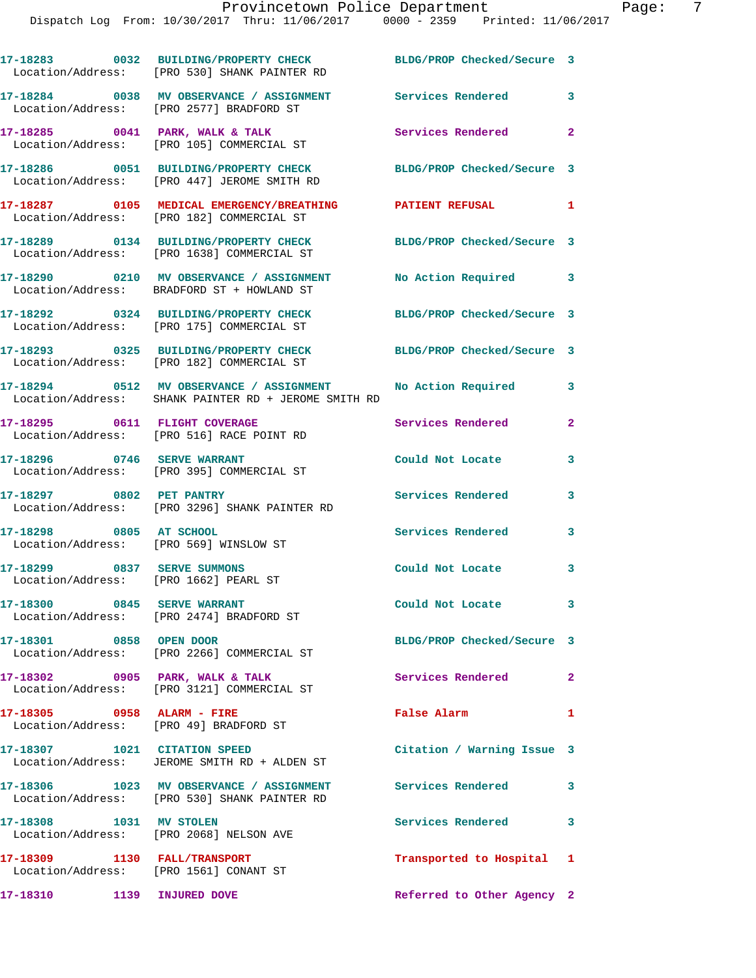|                                                                        | 17-18283 0032 BUILDING/PROPERTY CHECK<br>Location/Address: [PRO 530] SHANK PAINTER RD                      | BLDG/PROP Checked/Secure 3 |                         |
|------------------------------------------------------------------------|------------------------------------------------------------------------------------------------------------|----------------------------|-------------------------|
|                                                                        | 17-18284 0038 MV OBSERVANCE / ASSIGNMENT Services Rendered<br>Location/Address: [PRO 2577] BRADFORD ST     |                            | 3                       |
|                                                                        | 17-18285 0041 PARK, WALK & TALK<br>Location/Address: [PRO 105] COMMERCIAL ST                               | Services Rendered 2        |                         |
|                                                                        | 17-18286 0051 BUILDING/PROPERTY CHECK<br>Location/Address: [PRO 447] JEROME SMITH RD                       | BLDG/PROP Checked/Secure 3 |                         |
|                                                                        | 17-18287 0105 MEDICAL EMERGENCY/BREATHING PATIENT REFUSAL 1<br>Location/Address: [PRO 182] COMMERCIAL ST   |                            |                         |
|                                                                        | 17-18289 0134 BUILDING/PROPERTY CHECK<br>Location/Address: [PRO 1638] COMMERCIAL ST                        | BLDG/PROP Checked/Secure 3 |                         |
|                                                                        | 17-18290 0210 MV OBSERVANCE / ASSIGNMENT<br>Location/Address: BRADFORD ST + HOWLAND ST                     | No Action Required 3       |                         |
|                                                                        | 17-18292 0324 BUILDING/PROPERTY CHECK<br>Location/Address: [PRO 175] COMMERCIAL ST                         | BLDG/PROP Checked/Secure 3 |                         |
|                                                                        | 17-18293 0325 BUILDING/PROPERTY CHECK<br>Location/Address: [PRO 182] COMMERCIAL ST                         | BLDG/PROP Checked/Secure 3 |                         |
|                                                                        | 17-18294 0512 MV OBSERVANCE / ASSIGNMENT<br>Location/Address: SHANK PAINTER RD + JEROME SMITH RD           | No Action Required         | 3                       |
|                                                                        | 17-18295 0611 FLIGHT COVERAGE<br>Location/Address: [PRO 516] RACE POINT RD                                 | Services Rendered          | $\overline{2}$          |
| 17-18296 0746 SERVE WARRANT                                            | Location/Address: [PRO 395] COMMERCIAL ST                                                                  | Could Not Locate           | 3                       |
| 17-18297 0802 PET PANTRY                                               | Location/Address: [PRO 3296] SHANK PAINTER RD                                                              | Services Rendered          | 3                       |
| 17-18298 0805 AT SCHOOL<br>Location/Address: [PRO 569] WINSLOW ST      |                                                                                                            | Services Rendered          | 3                       |
| 17-18299 0837 SERVE SUMMONS<br>Location/Address: [PRO 1662] PEARL ST   |                                                                                                            | Could Not Locate           | 3                       |
|                                                                        | 17-18300 0845 SERVE WARRANT<br>Location/Address: [PRO 2474] BRADFORD ST                                    | Could Not Locate           | $\overline{\mathbf{3}}$ |
| 17-18301 0858 OPEN DOOR                                                | Location/Address: [PRO 2266] COMMERCIAL ST                                                                 | BLDG/PROP Checked/Secure 3 |                         |
|                                                                        | 17-18302 0905 PARK, WALK & TALK<br>Location/Address: [PRO 3121] COMMERCIAL ST                              | Services Rendered          | $\overline{a}$          |
| 17-18305 0958 ALARM - FIRE<br>Location/Address: [PRO 49] BRADFORD ST   |                                                                                                            | False Alarm                | $\mathbf{1}$            |
| 17-18307 1021 CITATION SPEED                                           | Location/Address: JEROME SMITH RD + ALDEN ST                                                               | Citation / Warning Issue 3 |                         |
|                                                                        | 17-18306 1023 MV OBSERVANCE / ASSIGNMENT Services Rendered<br>Location/Address: [PRO 530] SHANK PAINTER RD |                            | 3                       |
| 17-18308 1031 MV STOLEN                                                | Location/Address: [PRO 2068] NELSON AVE                                                                    | Services Rendered          | 3                       |
| 17-18309 1130 FALL/TRANSPORT<br>Location/Address: [PRO 1561] CONANT ST |                                                                                                            | Transported to Hospital 1  |                         |
| 17-18310 1139 INJURED DOVE                                             |                                                                                                            | Referred to Other Agency 2 |                         |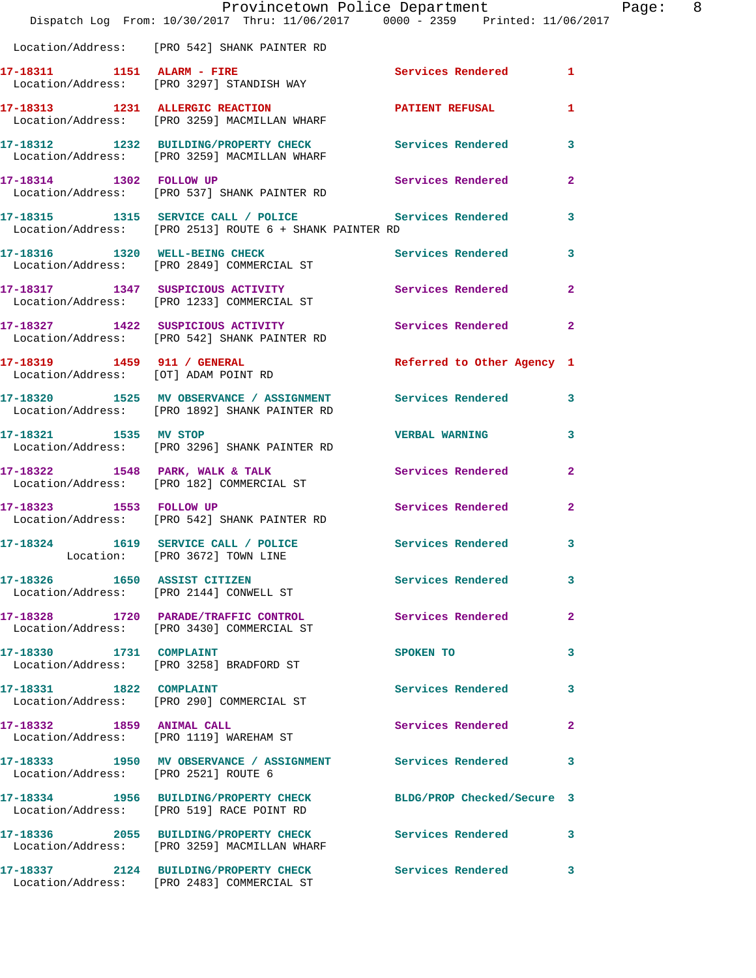|                                      | Dispatch Log From: 10/30/2017 Thru: 11/06/2017 0000 - 2359 Printed: 11/06/2017                                     | Provincetown Police Department |                         | Page: 8 |  |
|--------------------------------------|--------------------------------------------------------------------------------------------------------------------|--------------------------------|-------------------------|---------|--|
|                                      | Location/Address: [PRO 542] SHANK PAINTER RD                                                                       |                                |                         |         |  |
|                                      | 17-18311 1151 ALARM - FIRE<br>Location/Address: [PRO 3297] STANDISH WAY                                            | Services Rendered 1            |                         |         |  |
|                                      | 17-18313 1231 ALLERGIC REACTION 17-18313<br>Location/Address: [PRO 3259] MACMILLAN WHARF                           |                                | $\mathbf{1}$            |         |  |
|                                      | 17-18312 1232 BUILDING/PROPERTY CHECK Services Rendered 3<br>Location/Address: [PRO 3259] MACMILLAN WHARF          |                                |                         |         |  |
|                                      | 17-18314 1302 FOLLOW UP<br>Location/Address: [PRO 537] SHANK PAINTER RD                                            | Services Rendered              | $\mathbf{2}$            |         |  |
|                                      | 17-18315 1315 SERVICE CALL / POLICE Services Rendered 3<br>Location/Address: [PRO 2513] ROUTE 6 + SHANK PAINTER RD |                                |                         |         |  |
|                                      | 17-18316 1320 WELL-BEING CHECK<br>Location/Address: [PRO 2849] COMMERCIAL ST                                       | Services Rendered 3            |                         |         |  |
|                                      | 17-18317 1347 SUSPICIOUS ACTIVITY 1997 Services Rendered<br>Location/Address: [PRO 1233] COMMERCIAL ST             |                                | $\overline{2}$          |         |  |
|                                      | 17-18327 1422 SUSPICIOUS ACTIVITY<br>Location/Address: [PRO 542] SHANK PAINTER RD                                  | Services Rendered              | $\mathbf{2}$            |         |  |
|                                      | 17-18319 1459 911 / GENERAL<br>Location/Address: [OT] ADAM POINT RD                                                | Referred to Other Agency 1     |                         |         |  |
|                                      | 17-18320 1525 MV OBSERVANCE / ASSIGNMENT Services Rendered 3<br>Location/Address: [PRO 1892] SHANK PAINTER RD      |                                |                         |         |  |
| 17-18321 1535 MV STOP                | Location/Address: [PRO 3296] SHANK PAINTER RD                                                                      | <b>VERBAL WARNING</b>          | $\overline{\mathbf{3}}$ |         |  |
|                                      | 17-18322 1548 PARK, WALK & TALK 1999 Services Rendered 2<br>Location/Address: [PRO 182] COMMERCIAL ST              |                                |                         |         |  |
| 17-18323 1553 FOLLOW UP              | Location/Address: [PRO 542] SHANK PAINTER RD                                                                       | Services Rendered              | $\mathbf{2}$            |         |  |
|                                      | 17-18324 1619 SERVICE CALL / POLICE Services Rendered 3<br>Location: [PRO 3672] TOWN LINE                          |                                |                         |         |  |
|                                      | 17-18326 1650 ASSIST CITIZEN<br>Location/Address: [PRO 2144] CONWELL ST                                            | Services Rendered              | 3                       |         |  |
|                                      | 17-18328 1720 PARADE/TRAFFIC CONTROL<br>Location/Address: [PRO 3430] COMMERCIAL ST                                 | Services Rendered              | $\mathbf{2}$            |         |  |
| 17-18330 1731 COMPLAINT              | Location/Address: [PRO 3258] BRADFORD ST                                                                           | SPOKEN TO                      | 3                       |         |  |
| 17-18331 1822 COMPLAINT              | Location/Address: [PRO 290] COMMERCIAL ST                                                                          | Services Rendered              | 3                       |         |  |
|                                      | 17-18332 1859 ANIMAL CALL<br>Location/Address: [PRO 1119] WAREHAM ST                                               | Services Rendered              | $\mathbf{2}$            |         |  |
| Location/Address: [PRO 2521] ROUTE 6 | 17-18333 1950 MV OBSERVANCE / ASSIGNMENT Services Rendered 3                                                       |                                |                         |         |  |
|                                      | 17-18334 1956 BUILDING/PROPERTY CHECK<br>Location/Address: [PRO 519] RACE POINT RD                                 | BLDG/PROP Checked/Secure 3     |                         |         |  |
|                                      | 17-18336 2055 BUILDING/PROPERTY CHECK Services Rendered 3<br>Location/Address: [PRO 3259] MACMILLAN WHARF          |                                |                         |         |  |
|                                      | 17-18337 2124 BUILDING/PROPERTY CHECK<br>Location/Address: [PRO 2483] COMMERCIAL ST                                | Services Rendered 3            |                         |         |  |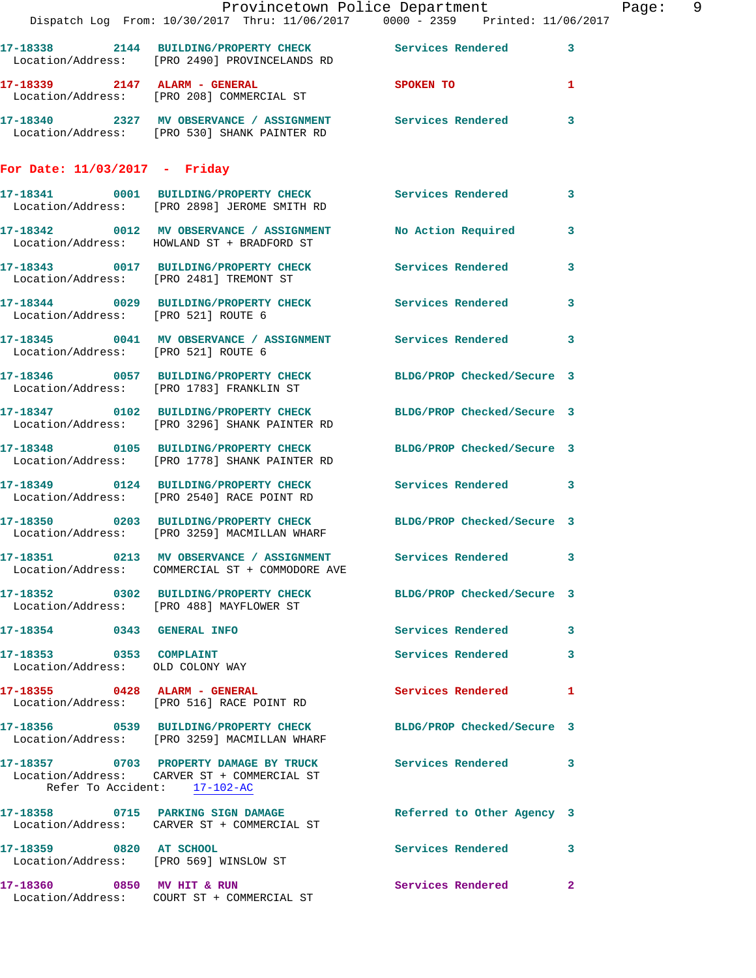|                                                             | Dispatch Log From: 10/30/2017 Thru: 11/06/2017 0000 - 2359 Printed: 11/06/2017                                    | Provincetown Police Department | Page: 9      |  |
|-------------------------------------------------------------|-------------------------------------------------------------------------------------------------------------------|--------------------------------|--------------|--|
|                                                             | 17-18338 2144 BUILDING/PROPERTY CHECK Services Rendered 3<br>Location/Address: [PRO 2490] PROVINCELANDS RD        |                                |              |  |
|                                                             | 17-18339 2147 ALARM - GENERAL SPOKEN TO<br>Location/Address: [PRO 208] COMMERCIAL ST                              |                                | $\mathbf{1}$ |  |
|                                                             | 17-18340 2327 MV OBSERVANCE / ASSIGNMENT Services Rendered 3<br>Location/Address: [PRO 530] SHANK PAINTER RD      |                                |              |  |
| For Date: $11/03/2017$ - Friday                             |                                                                                                                   |                                |              |  |
|                                                             | 17-18341 0001 BUILDING/PROPERTY CHECK Services Rendered 3<br>Location/Address: [PRO 2898] JEROME SMITH RD         |                                |              |  |
|                                                             | 17-18342 0012 MV OBSERVANCE / ASSIGNMENT No Action Required 3<br>Location/Address: HOWLAND ST + BRADFORD ST       |                                |              |  |
|                                                             | 17-18343 0017 BUILDING/PROPERTY CHECK Services Rendered<br>Location/Address: [PRO 2481] TREMONT ST                |                                | $\mathbf{3}$ |  |
| Location/Address: [PRO 521] ROUTE 6                         | 17-18344 0029 BUILDING/PROPERTY CHECK Services Rendered                                                           |                                | 3            |  |
| Location/Address: [PRO 521] ROUTE 6                         | 17-18345 0041 MV OBSERVANCE / ASSIGNMENT Services Rendered 3                                                      |                                |              |  |
|                                                             | 17-18346 0057 BUILDING/PROPERTY CHECK BLDG/PROP Checked/Secure 3<br>Location/Address: [PRO 1783] FRANKLIN ST      |                                |              |  |
|                                                             | 17-18347 0102 BUILDING/PROPERTY CHECK BLDG/PROP Checked/Secure 3<br>Location/Address: [PRO 3296] SHANK PAINTER RD |                                |              |  |
|                                                             | 17-18348 0105 BUILDING/PROPERTY CHECK BLDG/PROP Checked/Secure 3<br>Location/Address: [PRO 1778] SHANK PAINTER RD |                                |              |  |
|                                                             | 17-18349 0124 BUILDING/PROPERTY CHECK Services Rendered 3<br>Location/Address: [PRO 2540] RACE POINT RD           |                                |              |  |
|                                                             | 17-18350 0203 BUILDING/PROPERTY CHECK BLDG/PROP Checked/Secure 3<br>Location/Address: [PRO 3259] MACMILLAN WHARF  |                                |              |  |
|                                                             | 17-18351 0213 MV OBSERVANCE / ASSIGNMENT<br>Location/Address: COMMERCIAL ST + COMMODORE AVE                       | Services Rendered 3            |              |  |
|                                                             | 17-18352 0302 BUILDING/PROPERTY CHECK BLDG/PROP Checked/Secure 3<br>Location/Address: [PRO 488] MAYFLOWER ST      |                                |              |  |
| 17-18354 0343 GENERAL INFO                                  |                                                                                                                   | Services Rendered 3            |              |  |
| 17-18353 0353 COMPLAINT<br>Location/Address: OLD COLONY WAY |                                                                                                                   | Services Rendered              | 3            |  |
|                                                             | 17-18355 0428 ALARM - GENERAL<br>Location/Address: [PRO 516] RACE POINT RD                                        | Services Rendered 1            |              |  |
|                                                             | 17-18356 0539 BUILDING/PROPERTY CHECK BLDG/PROP Checked/Secure 3<br>Location/Address: [PRO 3259] MACMILLAN WHARF  |                                |              |  |
| Refer To Accident: 17-102-AC                                | 17-18357 0703 PROPERTY DAMAGE BY TRUCK Services Rendered 3<br>Location/Address: CARVER ST + COMMERCIAL ST         |                                |              |  |
|                                                             | 17-18358 0715 PARKING SIGN DAMAGE<br>Location/Address: CARVER ST + COMMERCIAL ST                                  | Referred to Other Agency 3     |              |  |
| 17-18359 0820 AT SCHOOL                                     | Location/Address: [PRO 569] WINSLOW ST                                                                            | Services Rendered 3            |              |  |
|                                                             | 17-18360 0850 MV HIT & RUN                                                                                        | Services Rendered              | $\mathbf{2}$ |  |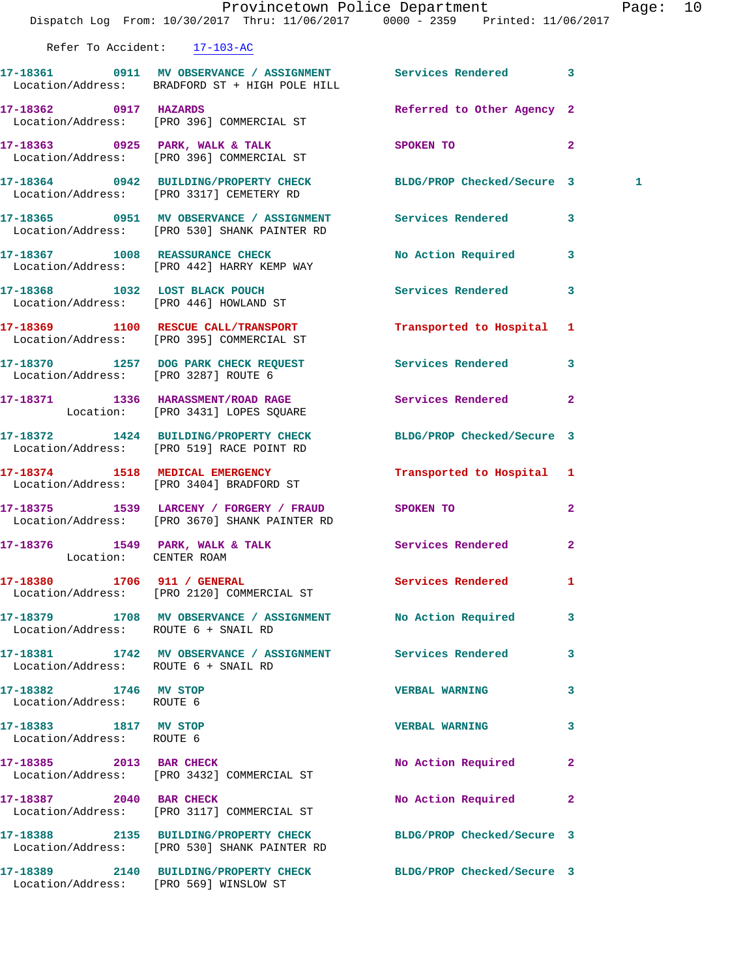|                                                    | Dispatch Log From: 10/30/2017 Thru: 11/06/2017 0000 - 2359 Printed: 11/06/2017                                   | Provincetown Police Department |                | Page: 10     |  |
|----------------------------------------------------|------------------------------------------------------------------------------------------------------------------|--------------------------------|----------------|--------------|--|
|                                                    | Refer To Accident: 17-103-AC                                                                                     |                                |                |              |  |
|                                                    | 17-18361 0911 MV OBSERVANCE / ASSIGNMENT Services Rendered 3<br>Location/Address: BRADFORD ST + HIGH POLE HILL   |                                |                |              |  |
|                                                    | 17-18362 0917 HAZARDS<br>Location/Address: [PRO 396] COMMERCIAL ST                                               | Referred to Other Agency 2     |                |              |  |
|                                                    | 17-18363 0925 PARK, WALK & TALK<br>Location/Address: [PRO 396] COMMERCIAL ST                                     | SPOKEN TO                      | $\overline{2}$ |              |  |
|                                                    | 17-18364 0942 BUILDING/PROPERTY CHECK BLDG/PROP Checked/Secure 3<br>Location/Address: [PRO 3317] CEMETERY RD     |                                |                | $\mathbf{1}$ |  |
|                                                    | 17-18365 0951 MV OBSERVANCE / ASSIGNMENT Services Rendered 3<br>Location/Address: [PRO 530] SHANK PAINTER RD     |                                |                |              |  |
|                                                    | 17-18367 1008 REASSURANCE CHECK<br>Location/Address: [PRO 442] HARRY KEMP WAY                                    | No Action Required 3           |                |              |  |
|                                                    | 17-18368 1032 LOST BLACK POUCH<br>Location/Address: [PRO 446] HOWLAND ST                                         | Services Rendered 3            |                |              |  |
|                                                    | 17-18369 1100 RESCUE CALL/TRANSPORT<br>Location/Address: [PRO 395] COMMERCIAL ST                                 | Transported to Hospital 1      |                |              |  |
|                                                    | 17-18370 1257 DOG PARK CHECK REQUEST Services Rendered 3<br>Location/Address: [PRO 3287] ROUTE 6                 |                                |                |              |  |
|                                                    | 17-18371 1336 HARASSMENT/ROAD RAGE Services Rendered 2<br>Location: [PRO 3431] LOPES SQUARE                      |                                |                |              |  |
|                                                    | 17-18372 1424 BUILDING/PROPERTY CHECK<br>Location/Address: [PRO 519] RACE POINT RD                               | BLDG/PROP Checked/Secure 3     |                |              |  |
|                                                    | 17-18374 1518 MEDICAL EMERGENCY<br>Location/Address: [PRO 3404] BRADFORD ST                                      | Transported to Hospital 1      |                |              |  |
|                                                    | 17-18375 1539 LARCENY / FORGERY / FRAUD SPOKEN TO<br>Location/Address: [PRO 3670] SHANK PAINTER RD               |                                | $\overline{2}$ |              |  |
| 17-18376 1549 PARK, WALK & TALK                    | Location: CENTER ROAM                                                                                            | Services Rendered 2            |                |              |  |
|                                                    | 17-18380 1706 911 / GENERAL<br>Location/Address: [PRO 2120] COMMERCIAL ST                                        | Services Rendered              | $\mathbf{1}$   |              |  |
| Location/Address: ROUTE 6 + SNAIL RD               | 17-18379 1708 MV OBSERVANCE / ASSIGNMENT No Action Required 3                                                    |                                |                |              |  |
| Location/Address: ROUTE 6 + SNAIL RD               | 17-18381 1742 MV OBSERVANCE / ASSIGNMENT Services Rendered                                                       |                                | 3              |              |  |
| 17-18382 1746 MV STOP<br>Location/Address: ROUTE 6 |                                                                                                                  | VERBAL WARNING 3               |                |              |  |
| 17-18383 1817 MV STOP<br>Location/Address: ROUTE 6 |                                                                                                                  | <b>VERBAL WARNING</b>          | 3              |              |  |
|                                                    | 17-18385 2013 BAR CHECK<br>Location/Address: [PRO 3432] COMMERCIAL ST                                            | No Action Required             | $\mathbf{2}$   |              |  |
|                                                    | 17-18387 2040 BAR CHECK<br>Location/Address: [PRO 3117] COMMERCIAL ST                                            | No Action Required             | $\mathbf{2}$   |              |  |
|                                                    | 17-18388 2135 BUILDING/PROPERTY CHECK BLDG/PROP Checked/Secure 3<br>Location/Address: [PRO 530] SHANK PAINTER RD |                                |                |              |  |
|                                                    | 17-18389 2140 BUILDING/PROPERTY CHECK BLDG/PROP Checked/Secure 3<br>Location/Address: [PRO 569] WINSLOW ST       |                                |                |              |  |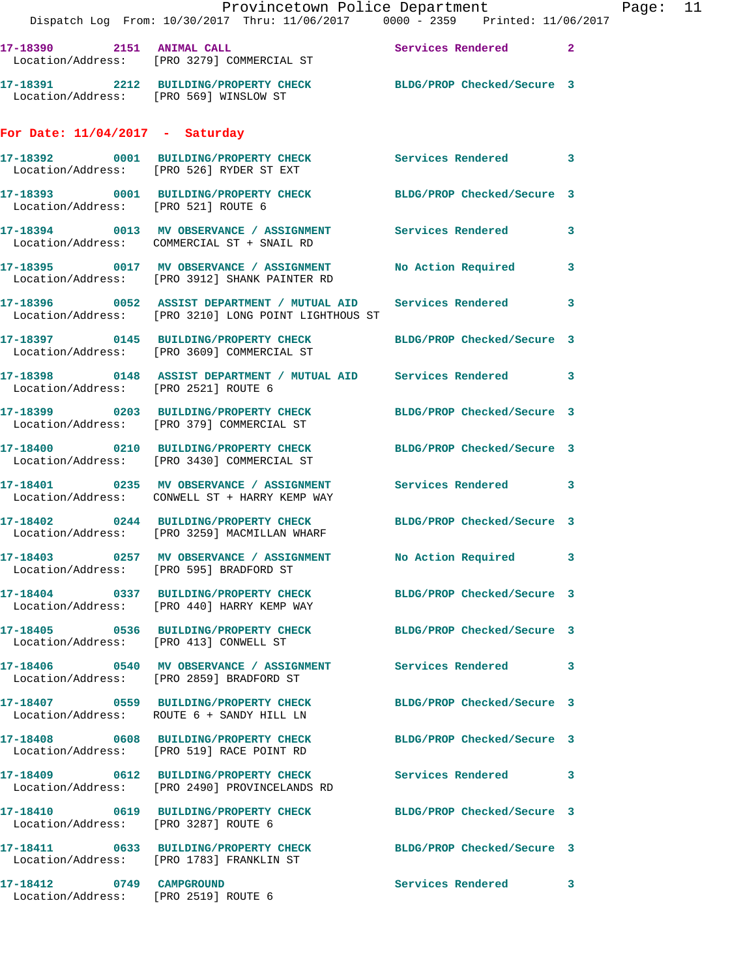|                                                                  | Provincetown Police Department<br>Dispatch Log From: 10/30/2017 Thru: 11/06/2017 0000 - 2359 Printed: 11/06/2017       |                            |                |
|------------------------------------------------------------------|------------------------------------------------------------------------------------------------------------------------|----------------------------|----------------|
|                                                                  | 17-18390 2151 ANIMAL CALL<br>Location/Address: [PRO 3279] COMMERCIAL ST                                                | <b>Services Rendered</b>   | $\overline{2}$ |
| Location/Address: [PRO 569] WINSLOW ST                           | 17-18391 2212 BUILDING/PROPERTY CHECK BLDG/PROP Checked/Secure 3                                                       |                            |                |
| For Date: $11/04/2017$ - Saturday                                |                                                                                                                        |                            |                |
|                                                                  | 17-18392 0001 BUILDING/PROPERTY CHECK Services Rendered<br>Location/Address: [PRO 526] RYDER ST EXT                    |                            | 3              |
| Location/Address: [PRO 521] ROUTE 6                              | 17-18393 0001 BUILDING/PROPERTY CHECK BLDG/PROP Checked/Secure 3                                                       |                            |                |
|                                                                  | 17-18394 0013 MV OBSERVANCE / ASSIGNMENT Services Rendered<br>Location/Address: COMMERCIAL ST + SNAIL RD               |                            | 3              |
|                                                                  | 17-18395 0017 MV OBSERVANCE / ASSIGNMENT<br>Location/Address: [PRO 3912] SHANK PAINTER RD                              | No Action Required         | 3              |
|                                                                  | 17-18396 6052 ASSIST DEPARTMENT / MUTUAL AID Services Rendered<br>Location/Address: [PRO 3210] LONG POINT LIGHTHOUS ST |                            | 3              |
|                                                                  |                                                                                                                        | BLDG/PROP Checked/Secure 3 |                |
| Location/Address: [PRO 2521] ROUTE 6                             | 17-18398 0148 ASSIST DEPARTMENT / MUTUAL AID Services Rendered                                                         |                            | 3              |
|                                                                  | 17-18399 0203 BUILDING/PROPERTY CHECK<br>Location/Address: [PRO 379] COMMERCIAL ST                                     | BLDG/PROP Checked/Secure 3 |                |
|                                                                  | 17-18400 0210 BUILDING/PROPERTY CHECK BLDG/PROP Checked/Secure 3<br>Location/Address: [PRO 3430] COMMERCIAL ST         |                            |                |
|                                                                  | 17-18401 0235 MV OBSERVANCE / ASSIGNMENT Services Rendered<br>Location/Address: CONWELL ST + HARRY KEMP WAY            |                            | 3              |
|                                                                  | 17-18402 0244 BUILDING/PROPERTY CHECK BLDG/PROP Checked/Secure 3<br>Location/Address: [PRO 3259] MACMILLAN WHARF       |                            |                |
| Location/Address: [PRO 595] BRADFORD ST                          | 17-18403 0257 MV OBSERVANCE / ASSIGNMENT                                                                               | No Action Required         | 3              |
|                                                                  | 17-18404 0337 BUILDING/PROPERTY CHECK BLDG/PROP Checked/Secure 3<br>Location/Address: [PRO 440] HARRY KEMP WAY         |                            |                |
| Location/Address: [PRO 413] CONWELL ST                           | 17-18405 0536 BUILDING/PROPERTY CHECK                                                                                  | BLDG/PROP Checked/Secure 3 |                |
|                                                                  | 17-18406  0540 MV OBSERVANCE / ASSIGNMENT Services Rendered<br>Location/Address: [PRO 2859] BRADFORD ST                |                            | 3              |
|                                                                  | 17-18407 0559 BUILDING/PROPERTY CHECK<br>Location/Address: ROUTE 6 + SANDY HILL LN                                     | BLDG/PROP Checked/Secure 3 |                |
|                                                                  | 17-18408 0608 BUILDING/PROPERTY CHECK<br>Location/Address: [PRO 519] RACE POINT RD                                     | BLDG/PROP Checked/Secure 3 |                |
|                                                                  | Location/Address: [PRO 2490] PROVINCELANDS RD                                                                          | Services Rendered          | 3              |
| Location/Address: [PRO 3287] ROUTE 6                             | 17-18410 0619 BUILDING/PROPERTY CHECK                                                                                  | BLDG/PROP Checked/Secure 3 |                |
|                                                                  | 17-18411 0633 BUILDING/PROPERTY CHECK<br>Location/Address: [PRO 1783] FRANKLIN ST                                      | BLDG/PROP Checked/Secure 3 |                |
| 17-18412 0749 CAMPGROUND<br>Location/Address: [PRO 2519] ROUTE 6 |                                                                                                                        | Services Rendered          | 3              |

Page:  $11$ <br> $17$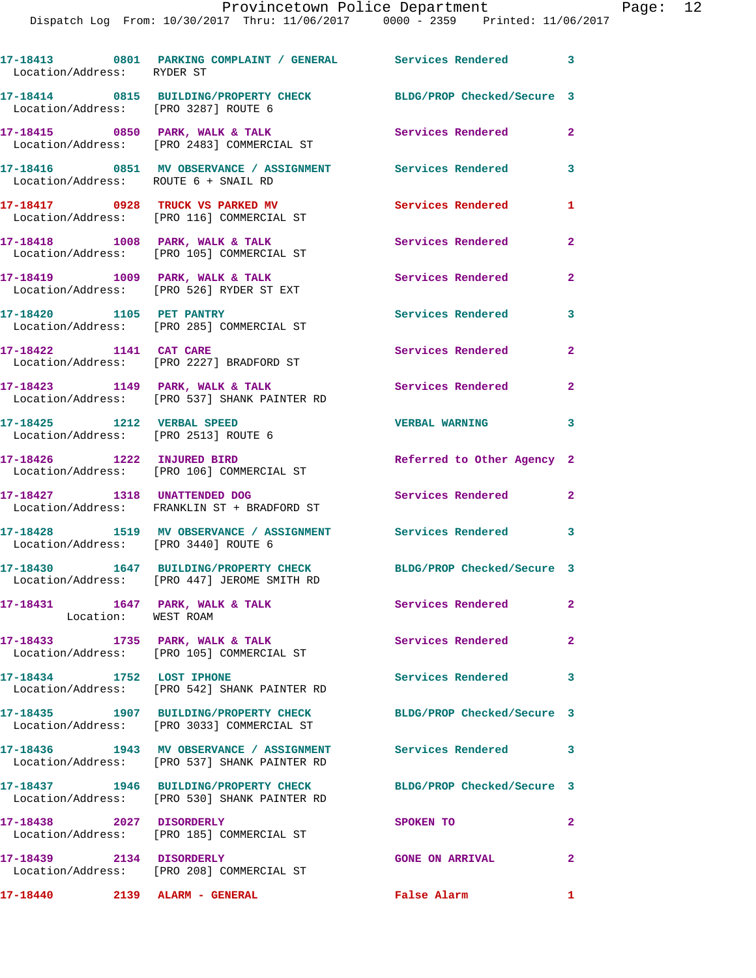Dispatch Log From: 10/30/2017 Thru: 11/06/2017 0000 - 2359 Printed: 11/06/2017

| Location/Address: RYDER ST | 17-18413 0801 PARKING COMPLAINT / GENERAL Services Rendered 3                                                   |                            |              |
|----------------------------|-----------------------------------------------------------------------------------------------------------------|----------------------------|--------------|
|                            | 17-18414 0815 BUILDING/PROPERTY CHECK<br>Location/Address: [PRO 3287] ROUTE 6                                   | BLDG/PROP Checked/Secure 3 |              |
|                            | 17-18415 0850 PARK, WALK & TALK<br>Location/Address: [PRO 2483] COMMERCIAL ST                                   | Services Rendered          | $\mathbf{2}$ |
|                            | 17-18416 0851 MV OBSERVANCE / ASSIGNMENT Services Rendered<br>Location/Address: ROUTE 6 + SNAIL RD              |                            | 3            |
|                            | 17-18417 0928 TRUCK VS PARKED MV<br>Location/Address: [PRO 116] COMMERCIAL ST                                   | <b>Services Rendered</b>   | $\mathbf{1}$ |
|                            | 17-18418 1008 PARK, WALK & TALK<br>Location/Address: [PRO 105] COMMERCIAL ST                                    | Services Rendered 2        |              |
|                            | 17-18419 1009 PARK, WALK & TALK<br>Location/Address: [PRO 526] RYDER ST EXT                                     | Services Rendered          | $\mathbf{2}$ |
| 17-18420 1105 PET PANTRY   | Location/Address: [PRO 285] COMMERCIAL ST                                                                       | Services Rendered 3        |              |
|                            | 17-18422 1141 CAT CARE<br>Location/Address: [PRO 2227] BRADFORD ST                                              | Services Rendered          | $\mathbf{2}$ |
|                            | $17-18423$ 1149 PARK, WALK & TALK<br>Location/Address: [PRO 537] SHANK PAINTER RD                               | <b>Services Rendered</b> 2 |              |
|                            | 17-18425    1212    VERBAL SPEED<br>Location/Address: [PRO 2513] ROUTE 6                                        | <b>VERBAL WARNING</b>      | 3            |
|                            | 17-18426    1222    INJURED BIRD<br>Location/Address: [PRO 106] COMMERCIAL ST                                   | Referred to Other Agency 2 |              |
|                            | 17-18427 1318 UNATTENDED DOG<br>Location/Address: FRANKLIN ST + BRADFORD ST                                     | <b>Services Rendered</b>   | $\mathbf{2}$ |
|                            | 17-18428 1519 MV OBSERVANCE / ASSIGNMENT Services Rendered 3<br>Location/Address: [PRO 3440] ROUTE 6            |                            |              |
|                            | 17-18430 1647 BUILDING/PROPERTY CHECK BLDG/PROP Checked/Secure 3<br>Location/Address: [PRO 447] JEROME SMITH RD |                            |              |
| Location: WEST ROAM        | 17-18431 1647 PARK, WALK & TALK                                                                                 | <b>Services Rendered</b>   | $\mathbf{2}$ |
|                            | 17-18433 1735 PARK, WALK & TALK<br>Location/Address: [PRO 105] COMMERCIAL ST                                    | Services Rendered          | $\mathbf{2}$ |
| 17-18434 1752 LOST IPHONE  | Location/Address: [PRO 542] SHANK PAINTER RD                                                                    | Services Rendered 3        |              |
|                            | 17-18435 1907 BUILDING/PROPERTY CHECK<br>Location/Address: [PRO 3033] COMMERCIAL ST                             | BLDG/PROP Checked/Secure 3 |              |
|                            | 17-18436 1943 MV OBSERVANCE / ASSIGNMENT Services Rendered 3<br>Location/Address: [PRO 537] SHANK PAINTER RD    |                            |              |
|                            | Location/Address: [PRO 530] SHANK PAINTER RD                                                                    | BLDG/PROP Checked/Secure 3 |              |
| 17-18438 2027 DISORDERLY   | Location/Address: [PRO 185] COMMERCIAL ST                                                                       | SPOKEN TO                  | $\mathbf{2}$ |
|                            | 17-18439 2134 DISORDERLY<br>Location/Address: [PRO 208] COMMERCIAL ST                                           | <b>GONE ON ARRIVAL</b>     | $\mathbf{2}$ |
|                            | 17-18440 2139 ALARM - GENERAL                                                                                   | False Alarm 1              |              |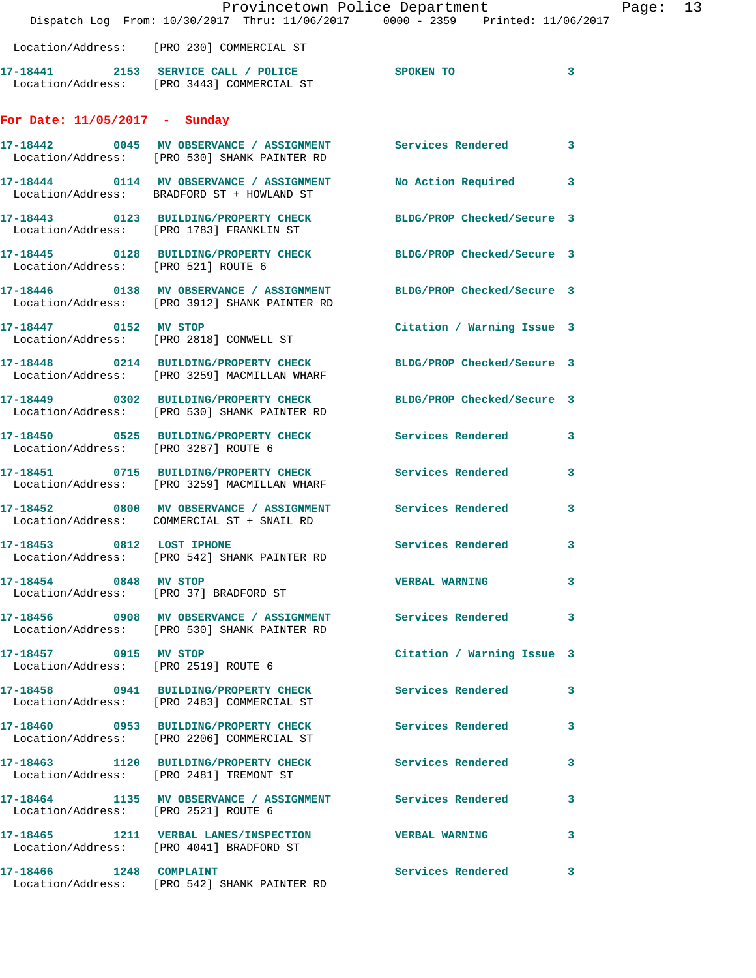|                                      | Dispatch Log From: 10/30/2017 Thru: 11/06/2017 0000 - 2359 Printed: 11/06/2017                                       | Provincetown Police Department | Page: 13     |  |
|--------------------------------------|----------------------------------------------------------------------------------------------------------------------|--------------------------------|--------------|--|
|                                      | Location/Address: [PRO 230] COMMERCIAL ST                                                                            |                                |              |  |
|                                      | 17-18441 2153 SERVICE CALL / POLICE SPOKEN TO<br>Location/Address: [PRO 3443] COMMERCIAL ST                          |                                | $\sim$ 3     |  |
| For Date: 11/05/2017 - Sunday        |                                                                                                                      |                                |              |  |
|                                      | 17-18442 0045 MV OBSERVANCE / ASSIGNMENT Services Rendered 3<br>Location/Address: [PRO 530] SHANK PAINTER RD         |                                |              |  |
|                                      | 17-18444 0114 MV OBSERVANCE / ASSIGNMENT No Action Required 3<br>Location/Address: BRADFORD ST + HOWLAND ST          |                                |              |  |
|                                      | 17-18443 0123 BUILDING/PROPERTY CHECK BLDG/PROP Checked/Secure 3<br>Location/Address: [PRO 1783] FRANKLIN ST         |                                |              |  |
| Location/Address: [PRO 521] ROUTE 6  | 17-18445 0128 BUILDING/PROPERTY CHECK BLDG/PROP Checked/Secure 3                                                     |                                |              |  |
|                                      | 17-18446 0138 MV OBSERVANCE / ASSIGNMENT BLDG/PROP Checked/Secure 3<br>Location/Address: [PRO 3912] SHANK PAINTER RD |                                |              |  |
| 17-18447 0152 MV STOP                | Location/Address: [PRO 2818] CONWELL ST                                                                              | Citation / Warning Issue 3     |              |  |
|                                      | 17-18448 0214 BUILDING/PROPERTY CHECK BLDG/PROP Checked/Secure 3<br>Location/Address: [PRO 3259] MACMILLAN WHARF     |                                |              |  |
|                                      | 17-18449 0302 BUILDING/PROPERTY CHECK BLDG/PROP Checked/Secure 3<br>Location/Address: [PRO 530] SHANK PAINTER RD     |                                |              |  |
| Location/Address: [PRO 3287] ROUTE 6 | 17-18450 0525 BUILDING/PROPERTY CHECK Services Rendered 3                                                            |                                |              |  |
|                                      | 17-18451 0715 BUILDING/PROPERTY CHECK Services Rendered 3<br>Location/Address: [PRO 3259] MACMILLAN WHARF            |                                |              |  |
|                                      | 17-18452 0800 MV OBSERVANCE / ASSIGNMENT Services Rendered 3<br>Location/Address: COMMERCIAL ST + SNAIL RD           |                                |              |  |
|                                      | $17-18453$ 0812 LOST IPHONE<br>Location/Address: [PRO 542] SHANK PAINTER RD                                          | <b>Services Rendered</b>       | $\mathbf{3}$ |  |
| 17-18454 0848 MV STOP                | Location/Address: [PRO 37] BRADFORD ST                                                                               | <b>VERBAL WARNING</b>          | 3            |  |
|                                      | 17-18456 0908 MV OBSERVANCE / ASSIGNMENT Services Rendered 3<br>Location/Address: [PRO 530] SHANK PAINTER RD         |                                |              |  |
| 17-18457 0915 MV STOP                | Location/Address: [PRO 2519] ROUTE 6                                                                                 | Citation / Warning Issue 3     |              |  |
|                                      | 17-18458 0941 BUILDING/PROPERTY CHECK Services Rendered 3<br>Location/Address: [PRO 2483] COMMERCIAL ST              |                                |              |  |
|                                      | 17-18460 0953 BUILDING/PROPERTY CHECK Services Rendered 3<br>Location/Address: [PRO 2206] COMMERCIAL ST              |                                |              |  |
|                                      | 17-18463 1120 BUILDING/PROPERTY CHECK Services Rendered<br>Location/Address: [PRO 2481] TREMONT ST                   |                                | 3            |  |
| Location/Address: [PRO 2521] ROUTE 6 | 17-18464 1135 MV OBSERVANCE / ASSIGNMENT Services Rendered 3                                                         |                                |              |  |
|                                      | 17-18465 1211 VERBAL LANES/INSPECTION VERBAL WARNING<br>Location/Address: [PRO 4041] BRADFORD ST                     |                                | $\mathbf{3}$ |  |
|                                      | 17-18466 1248 COMPLAINT<br>Location/Address: [PRO 542] SHANK PAINTER RD                                              | Services Rendered 3            |              |  |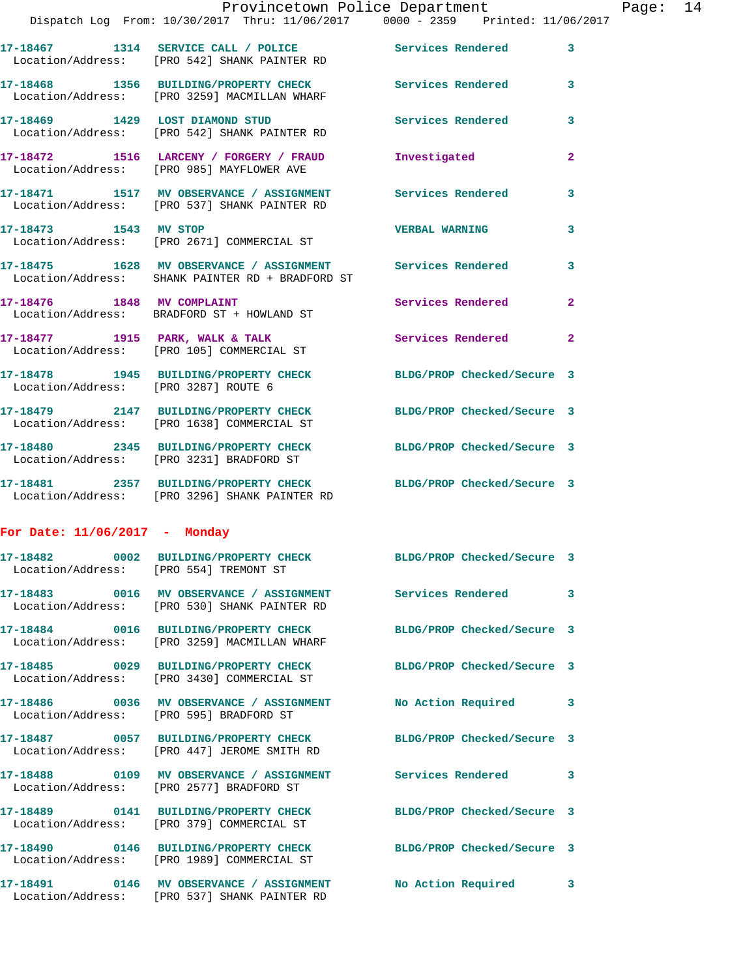|                                      | Provincetown Police Department                                                                                    |                            |                |
|--------------------------------------|-------------------------------------------------------------------------------------------------------------------|----------------------------|----------------|
|                                      | Dispatch Log From: 10/30/2017 Thru: 11/06/2017 0000 - 2359 Printed: 11/06/2017                                    |                            |                |
|                                      | 17-18467 1314 SERVICE CALL / POLICE 2008 Services Rendered<br>Location/Address: [PRO 542] SHANK PAINTER RD        |                            | 3              |
|                                      | 17-18468 1356 BUILDING/PROPERTY CHECK Services Rendered<br>Location/Address: [PRO 3259] MACMILLAN WHARF           |                            | 3              |
|                                      | 17-18469 1429 LOST DIAMOND STUD<br>Location/Address: [PRO 542] SHANK PAINTER RD                                   | <b>Services Rendered</b>   | 3              |
|                                      | 17-18472 1516 LARCENY / FORGERY / FRAUD<br>Location/Address: [PRO 985] MAYFLOWER AVE                              | Investigated               | $\overline{a}$ |
|                                      | 17-18471 1517 MV OBSERVANCE / ASSIGNMENT Services Rendered<br>Location/Address: [PRO 537] SHANK PAINTER RD        |                            | 3              |
| 17-18473 1543 MV STOP                | Location/Address: [PRO 2671] COMMERCIAL ST                                                                        | <b>VERBAL WARNING</b>      | 3              |
|                                      | 17-18475 1628 MV OBSERVANCE / ASSIGNMENT Services Rendered<br>Location/Address: SHANK PAINTER RD + BRADFORD ST    |                            | 3              |
| 17-18476 1848 MV COMPLAINT           | Location/Address: BRADFORD ST + HOWLAND ST                                                                        | Services Rendered          | $\overline{a}$ |
|                                      | 17-18477 1915 PARK, WALK & TALK<br>Location/Address: [PRO 105] COMMERCIAL ST                                      | Services Rendered          | $\mathbf{2}$   |
| Location/Address: [PRO 3287] ROUTE 6 | 17-18478 1945 BUILDING/PROPERTY CHECK BLDG/PROP Checked/Secure 3                                                  |                            |                |
|                                      | 17-18479 2147 BUILDING/PROPERTY CHECK<br>Location/Address: [PRO 1638] COMMERCIAL ST                               | BLDG/PROP Checked/Secure 3 |                |
|                                      | 17-18480 2345 BUILDING/PROPERTY CHECK BLDG/PROP Checked/Secure 3<br>Location/Address: [PRO 3231] BRADFORD ST      |                            |                |
|                                      | 17-18481 2357 BUILDING/PROPERTY CHECK BLDG/PROP Checked/Secure 3<br>Location/Address: [PRO 3296] SHANK PAINTER RD |                            |                |
| For Date: $11/06/2017$ - Monday      |                                                                                                                   |                            |                |
| Location/Address:                    | 17-18482 0002 BUILDING/PROPERTY CHECK<br>[PRO 554] TREMONT ST                                                     | BLDG/PROP Checked/Secure 3 |                |
|                                      | Location/Address: [PRO 530] SHANK PAINTER RD                                                                      | <b>Services Rendered</b>   | 3              |
| Location/Address:                    | 17-18484 0016 BUILDING/PROPERTY CHECK<br>[PRO 3259] MACMILLAN WHARF                                               | BLDG/PROP Checked/Secure 3 |                |
| 17-18485                             | 0029 BUILDING/PROPERTY CHECK<br>Location/Address: [PRO 3430] COMMERCIAL ST                                        | BLDG/PROP Checked/Secure 3 |                |
|                                      | Location/Address: [PRO 595] BRADFORD ST                                                                           | No Action Required         | 3              |

**17-18487 0057 BUILDING/PROPERTY CHECK BLDG/PROP Checked/Secure 3**  Location/Address: [PRO 447] JEROME SMITH RD

**17-18488 0109 MV OBSERVANCE / ASSIGNMENT Services Rendered 3**  Location/Address: [PRO 2577] BRADFORD ST

**17-18489 0141 BUILDING/PROPERTY CHECK BLDG/PROP Checked/Secure 3**  Location/Address: [PRO 379] COMMERCIAL ST

**17-18490 0146 BUILDING/PROPERTY CHECK BLDG/PROP Checked/Secure 3**  Location/Address: [PRO 1989] COMMERCIAL ST

**17-18491 0146 MV OBSERVANCE / ASSIGNMENT No Action Required 3**  Location/Address: [PRO 537] SHANK PAINTER RD